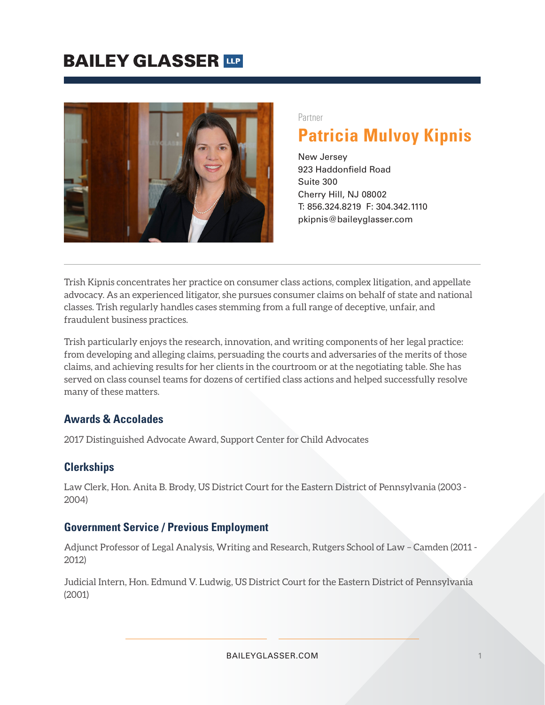

Partner

# **Patricia Mulvoy Kipnis**

New Jersey 923 Haddonfield Road Suite 300 Cherry Hill, NJ 08002 T: 856.324.8219 F: 304.342.1110 pkipnis@baileyglasser.com

Trish Kipnis concentrates her practice on consumer class actions, complex litigation, and appellate advocacy. As an experienced litigator, she pursues consumer claims on behalf of state and national classes. Trish regularly handles cases stemming from a full range of deceptive, unfair, and fraudulent business practices.

Trish particularly enjoys the research, innovation, and writing components of her legal practice: from developing and alleging claims, persuading the courts and adversaries of the merits of those claims, and achieving results for her clients in the courtroom or at the negotiating table. She has served on class counsel teams for dozens of certified class actions and helped successfully resolve many of these matters.

### **Awards & Accolades**

2017 Distinguished Advocate Award, Support Center for Child Advocates

#### **Clerkships**

Law Clerk, Hon. Anita B. Brody, US District Court for the Eastern District of Pennsylvania (2003 - 2004)

#### **Government Service / Previous Employment**

Adjunct Professor of Legal Analysis, Writing and Research, Rutgers School of Law – Camden (2011 - 2012)

Judicial Intern, Hon. Edmund V. Ludwig, US District Court for the Eastern District of Pennsylvania (2001)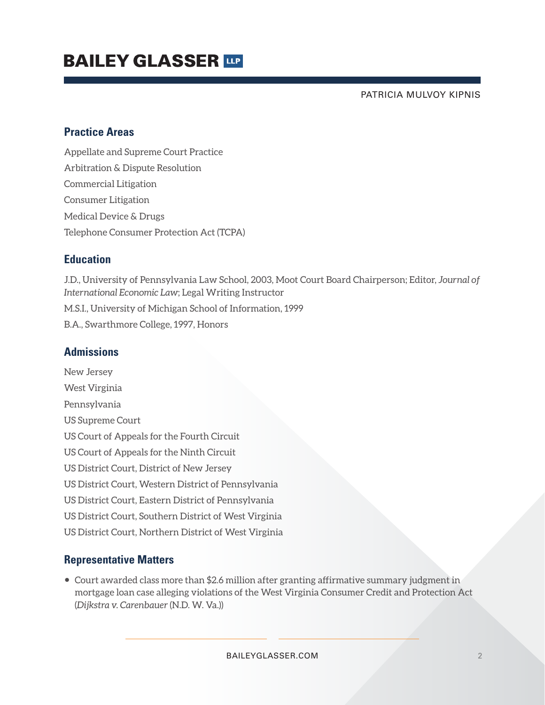PATRICIA MULVOY KIPNIS

### **Practice Areas**

Appellate and Supreme Court Practice Arbitration & Dispute Resolution Commercial Litigation Consumer Litigation Medical Device & Drugs Telephone Consumer Protection Act (TCPA)

### **Education**

J.D., University of Pennsylvania Law School, 2003, Moot Court Board Chairperson; Editor, *Journal of International Economic Law*; Legal Writing Instructor M.S.I., University of Michigan School of Information, 1999 B.A., Swarthmore College, 1997, Honors

### **Admissions**

New Jersey West Virginia Pennsylvania US Supreme Court US Court of Appeals for the Fourth Circuit US Court of Appeals for the Ninth Circuit US District Court, District of New Jersey US District Court, Western District of Pennsylvania US District Court, Eastern District of Pennsylvania US District Court, Southern District of West Virginia US District Court, Northern District of West Virginia

### **Representative Matters**

● Court awarded class more than \$2.6 million after granting affirmative summary judgment in mortgage loan case alleging violations of the West Virginia Consumer Credit and Protection Act (*Dijkstra v. Carenbauer* (N.D. W. Va.))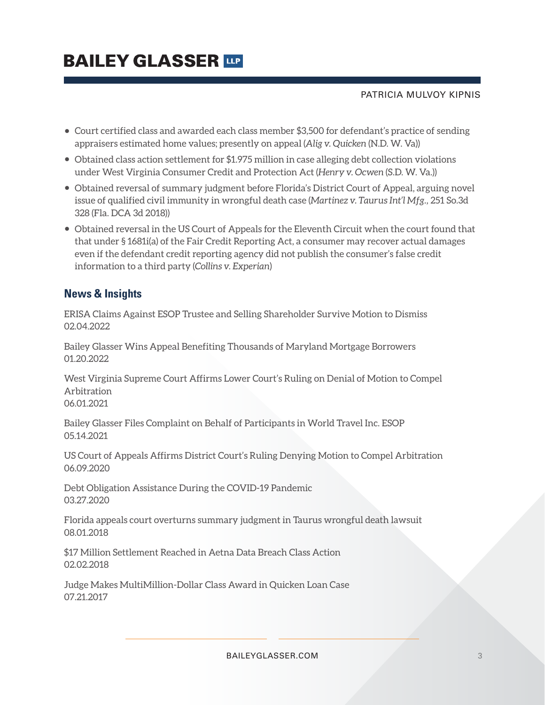#### PATRICIA MULVOY KIPNIS

- Court certified class and awarded each class member \$3,500 for defendant's practice of sending appraisers estimated home values; presently on appeal (*Alig v. Quicken* (N.D. W. Va))
- Obtained class action settlement for \$1.975 million in case alleging debt collection violations under West Virginia Consumer Credit and Protection Act (*Henry v. Ocwen* (S.D. W. Va.))
- Obtained reversal of summary judgment before Florida's District Court of Appeal, arguing novel issue of qualified civil immunity in wrongful death case (*Martinez v. Taurus Int'l Mfg.,* 251 So.3d 328 (Fla. DCA 3d 2018))
- Obtained reversal in the US Court of Appeals for the Eleventh Circuit when the court found that that under § 1681i(a) of the Fair Credit Reporting Act, a consumer may recover actual damages even if the defendant credit reporting agency did not publish the consumer's false credit information to a third party (*Collins v. Experian*)

## **News & Insights**

ERISA Claims Against ESOP Trustee and Selling Shareholder Survive Motion to Dismiss 02.04.2022

Bailey Glasser Wins Appeal Benefiting Thousands of Maryland Mortgage Borrowers 01.20.2022

West Virginia Supreme Court Affirms Lower Court's Ruling on Denial of Motion to Compel Arbitration 06.01.2021

Bailey Glasser Files Complaint on Behalf of Participants in World Travel Inc. ESOP 05.14.2021

US Court of Appeals Affirms District Court's Ruling Denying Motion to Compel Arbitration 06.09.2020

Debt Obligation Assistance During the COVID-19 Pandemic 03.27.2020

Florida appeals court overturns summary judgment in Taurus wrongful death lawsuit 08.01.2018

\$17 Million Settlement Reached in Aetna Data Breach Class Action 02.02.2018

Judge Makes MultiMillion-Dollar Class Award in Quicken Loan Case 07.21.2017